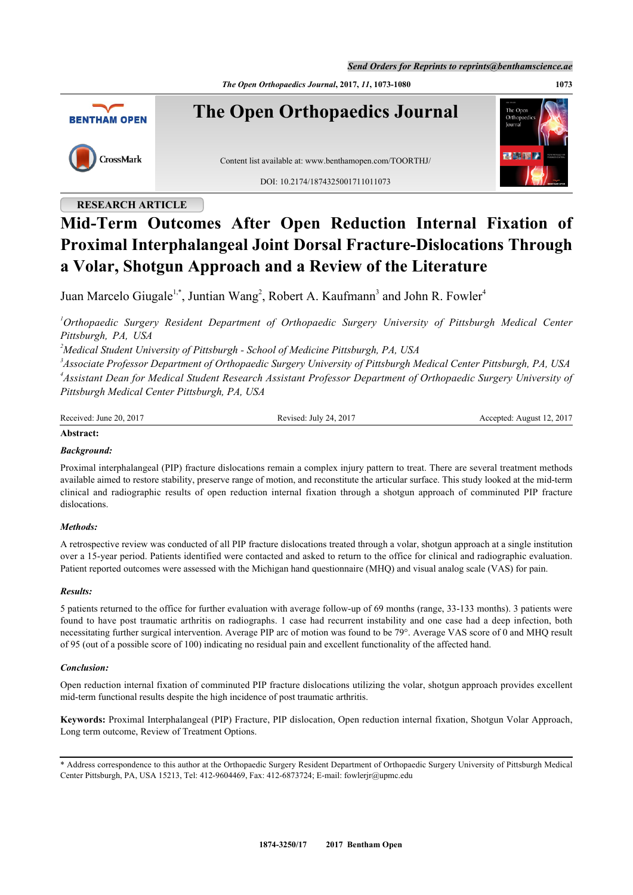*Send Orders for Reprints to reprints@benthamscience.ae*

*The Open Orthopaedics Journal***, 2017,** *11***, 1073-1080 1073**



## **RESEARCH ARTICLE**

# **Mid-Term Outcomes After Open Reduction Internal Fixation of Proximal Interphalangeal Joint Dorsal Fracture-Dislocations Through a Volar, Shotgun Approach and a Review of the Literature**

Juan Marcelo Giugale<sup>[1,](#page-0-0)[\\*](#page-0-1)</sup>, Juntian Wang<sup>[2](#page-0-2)</sup>, Robert A. Kaufmann<sup>[3](#page-0-3)</sup> and John R. Fowler<sup>4</sup>

<span id="page-0-0"></span>*<sup>1</sup>Orthopaedic Surgery Resident Department of Orthopaedic Surgery University of Pittsburgh Medical Center Pittsburgh, PA, USA*

<span id="page-0-2"></span>*<sup>2</sup>Medical Student University of Pittsburgh - School of Medicine Pittsburgh, PA, USA*

<span id="page-0-3"></span>*3 Associate Professor Department of Orthopaedic Surgery University of Pittsburgh Medical Center Pittsburgh, PA, USA 4 Assistant Dean for Medical Student Research Assistant Professor Department of Orthopaedic Surgery University of Pittsburgh Medical Center Pittsburgh, PA, USA*

Received: June 20, 2017 Revised: July 24, 2017 Accepted: August 12, 2017

#### **Abstract:**

## *Background:*

Proximal interphalangeal (PIP) fracture dislocations remain a complex injury pattern to treat. There are several treatment methods available aimed to restore stability, preserve range of motion, and reconstitute the articular surface. This study looked at the mid-term clinical and radiographic results of open reduction internal fixation through a shotgun approach of comminuted PIP fracture dislocations.

### *Methods:*

A retrospective review was conducted of all PIP fracture dislocations treated through a volar, shotgun approach at a single institution over a 15-year period. Patients identified were contacted and asked to return to the office for clinical and radiographic evaluation. Patient reported outcomes were assessed with the Michigan hand questionnaire (MHQ) and visual analog scale (VAS) for pain.

#### *Results:*

5 patients returned to the office for further evaluation with average follow-up of 69 months (range, 33-133 months). 3 patients were found to have post traumatic arthritis on radiographs. 1 case had recurrent instability and one case had a deep infection, both necessitating further surgical intervention. Average PIP arc of motion was found to be 79°. Average VAS score of 0 and MHQ result of 95 (out of a possible score of 100) indicating no residual pain and excellent functionality of the affected hand.

### *Conclusion:*

Open reduction internal fixation of comminuted PIP fracture dislocations utilizing the volar, shotgun approach provides excellent mid-term functional results despite the high incidence of post traumatic arthritis.

**Keywords:** Proximal Interphalangeal (PIP) Fracture, PIP dislocation, Open reduction internal fixation, Shotgun Volar Approach, Long term outcome, Review of Treatment Options.

<span id="page-0-1"></span>\* Address correspondence to this author at the Orthopaedic Surgery Resident Department of Orthopaedic Surgery University of Pittsburgh Medical Center Pittsburgh, PA, USA 15213, Tel: 412-9604469, Fax: 412-6873724; E-mail: [fowlerjr@upmc.edu](mailto:fowlerjr@upmc.edu)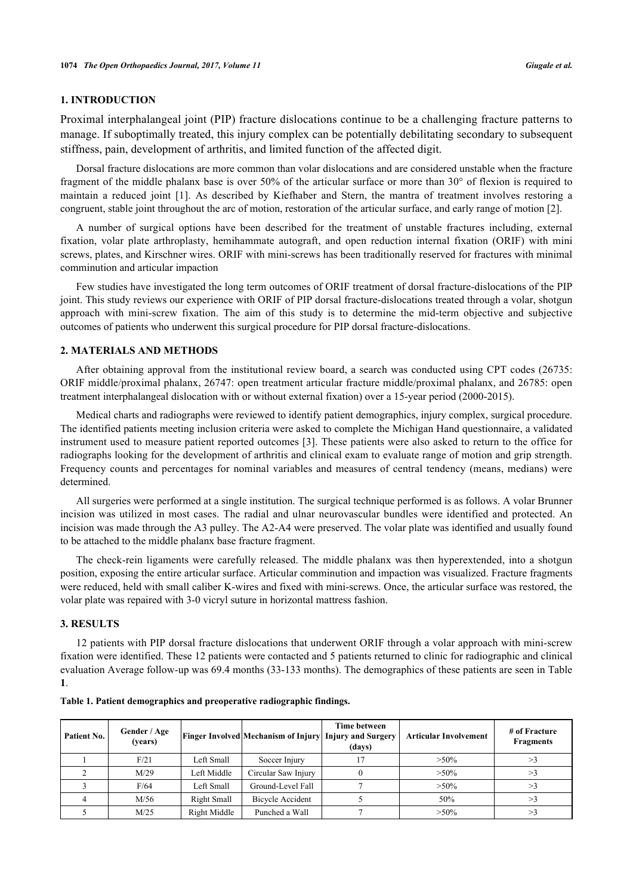## **1. INTRODUCTION**

Proximal interphalangeal joint (PIP) fracture dislocations continue to be a challenging fracture patterns to manage. If suboptimally treated, this injury complex can be potentially debilitating secondary to subsequent stiffness, pain, development of arthritis, and limited function of the affected digit.

Dorsal fracture dislocations are more common than volar dislocations and are considered unstable when the fracture fragment of the middle phalanx base is over 50% of the articular surface or more than 30° of flexion is required to maintain a reduced joint [\[1\]](#page-6-0). As described by Kiefhaber and Stern, the mantra of treatment involves restoring a congruent, stable joint throughout the arc of motion, restoration of the articular surface, and early range of motion [[2\]](#page-6-1).

A number of surgical options have been described for the treatment of unstable fractures including, external fixation, volar plate arthroplasty, hemihammate autograft, and open reduction internal fixation (ORIF) with mini screws, plates, and Kirschner wires. ORIF with mini-screws has been traditionally reserved for fractures with minimal comminution and articular impaction

Few studies have investigated the long term outcomes of ORIF treatment of dorsal fracture-dislocations of the PIP joint. This study reviews our experience with ORIF of PIP dorsal fracture-dislocations treated through a volar, shotgun approach with mini-screw fixation. The aim of this study is to determine the mid-term objective and subjective outcomes of patients who underwent this surgical procedure for PIP dorsal fracture-dislocations.

#### **2. MATERIALS AND METHODS**

After obtaining approval from the institutional review board, a search was conducted using CPT codes (26735: ORIF middle/proximal phalanx, 26747: open treatment articular fracture middle/proximal phalanx, and 26785: open treatment interphalangeal dislocation with or without external fixation) over a 15-year period (2000-2015).

Medical charts and radiographs were reviewed to identify patient demographics, injury complex, surgical procedure. The identified patients meeting inclusion criteria were asked to complete the Michigan Hand questionnaire, a validated instrument used to measure patient reported outcomes [[3](#page-6-2)]. These patients were also asked to return to the office for radiographs looking for the development of arthritis and clinical exam to evaluate range of motion and grip strength. Frequency counts and percentages for nominal variables and measures of central tendency (means, medians) were determined.

All surgeries were performed at a single institution. The surgical technique performed is as follows. A volar Brunner incision was utilized in most cases. The radial and ulnar neurovascular bundles were identified and protected. An incision was made through the A3 pulley. The A2-A4 were preserved. The volar plate was identified and usually found to be attached to the middle phalanx base fracture fragment.

The check-rein ligaments were carefully released. The middle phalanx was then hyperextended, into a shotgun position, exposing the entire articular surface. Articular comminution and impaction was visualized. Fracture fragments were reduced, held with small caliber K-wires and fixed with mini-screws. Once, the articular surface was restored, the volar plate was repaired with 3-0 vicryl suture in horizontal mattress fashion.

## **3. RESULTS**

12 patients with PIP dorsal fracture dislocations that underwent ORIF through a volar approach with mini-screw fixation were identified. These 12 patients were contacted and 5 patients returned to clinic for radiographic and clinical evaluation Average follow-up was 69.4 months (33-133 months). The demographics of these patients are seen in Table **[1](#page-1-0)**.

| Patient No. | Gender / Age<br>(years) |              | <b>Finger Involved Mechanism of Injury Injury and Surgery</b> | Time between<br>(days) | <b>Articular Involvement</b> | # of Fracture<br><b>Fragments</b> |
|-------------|-------------------------|--------------|---------------------------------------------------------------|------------------------|------------------------------|-----------------------------------|
|             | F/21                    | Left Small   | Soccer Injury                                                 |                        | $>50\%$                      |                                   |
|             | M/29                    | Left Middle  | Circular Saw Injury                                           |                        | $>50\%$                      |                                   |
|             | F/64                    | Left Small   | Ground-Level Fall                                             |                        | $>50\%$                      |                                   |
|             | M/56                    | Right Small  | <b>Bicycle Accident</b>                                       |                        | 50%                          |                                   |
|             | M/25                    | Right Middle | Punched a Wall                                                |                        | $>50\%$                      |                                   |

<span id="page-1-0"></span>

|  | Table 1. Patient demographics and preoperative radiographic findings. |  |  |  |
|--|-----------------------------------------------------------------------|--|--|--|
|  |                                                                       |  |  |  |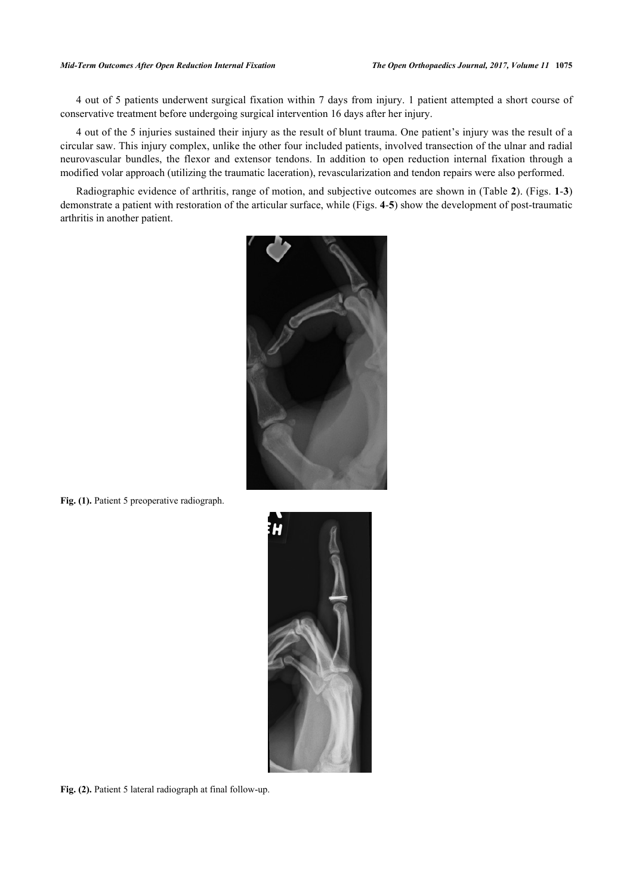4 out of 5 patients underwent surgical fixation within 7 days from injury. 1 patient attempted a short course of conservative treatment before undergoing surgical intervention 16 days after her injury.

4 out of the 5 injuries sustained their injury as the result of blunt trauma. One patient's injury was the result of a circular saw. This injury complex, unlike the other four included patients, involved transection of the ulnar and radial neurovascular bundles, the flexor and extensor tendons. In addition to open reduction internal fixation through a modified volar approach (utilizing the traumatic laceration), revascularization and tendon repairs were also performed.

<span id="page-2-0"></span>Radiographic evidence of arthritis, range of motion, and subjective outcomes are shown in (Table **[2](#page-3-0)**). (Figs. **[1](#page-2-0)**-**[3](#page-3-1)**) demonstrate a patient with restoration of the articular surface, while (Figs. **[4](#page-3-2)**-**[5](#page-3-3)**) show the development of post-traumatic arthritis in another patient.



**Fig. (1).** Patient 5 preoperative radiograph.



Fig. (2). Patient 5 lateral radiograph at final follow-up.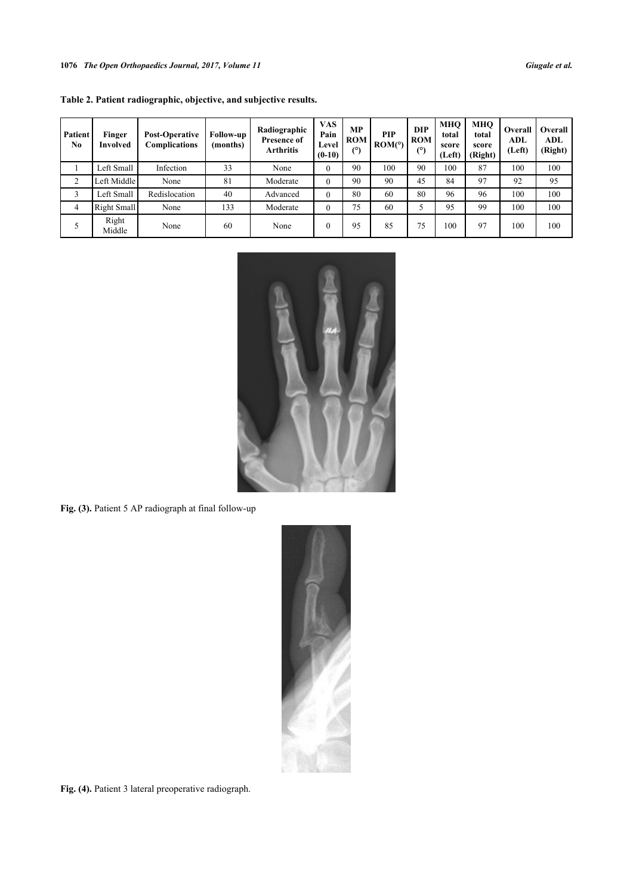<span id="page-3-1"></span>

| Patient<br>No | Finger<br>Involved | <b>Post-Operative</b><br><b>Complications</b> | <b>Follow-up</b><br>(months) | Radiographic<br><b>Presence of</b><br>Arthritis | <b>VAS</b><br>Pain<br>Level<br>$(0-10)$ | <b>MP</b><br><b>ROM</b><br>(°) | <b>PIP</b><br>ROM(°) | <b>DIP</b><br><b>ROM</b><br>(°) | <b>MHO</b><br>total<br>score<br>(Left) | <b>MHO</b><br>total<br>score<br>(Right) | Overall<br>ADL<br>(Left) | Overall<br>ADL<br>(Right) |
|---------------|--------------------|-----------------------------------------------|------------------------------|-------------------------------------------------|-----------------------------------------|--------------------------------|----------------------|---------------------------------|----------------------------------------|-----------------------------------------|--------------------------|---------------------------|
|               | Left Small         | Infection                                     | 33                           | None                                            | $\theta$                                | 90                             | 100                  | 90                              | 100                                    | 87                                      | 100                      | 100                       |
| 2             | Left Middle        | None                                          | 81                           | Moderate                                        | $\theta$                                | 90                             | 90                   | 45                              | 84                                     | 97                                      | 92                       | 95                        |
| 3             | Left Small         | Redislocation                                 | 40                           | Advanced                                        | $\theta$                                | 80                             | 60                   | 80                              | 96                                     | 96                                      | 100                      | 100                       |
| 4             | Right Small        | None                                          | 133                          | Moderate                                        | 0                                       | 75                             | 60                   |                                 | 95                                     | 99                                      | 100                      | 100                       |
|               | Right<br>Middle    | None                                          | 60                           | None                                            | 0                                       | 95                             | 85                   | 75                              | 100                                    | 97                                      | 100                      | 100                       |

<span id="page-3-0"></span>**Table 2. Patient radiographic, objective, and subjective results.**



Fig. (3). Patient 5 AP radiograph at final follow-up

<span id="page-3-3"></span><span id="page-3-2"></span>

Fig. (4). Patient 3 lateral preoperative radiograph.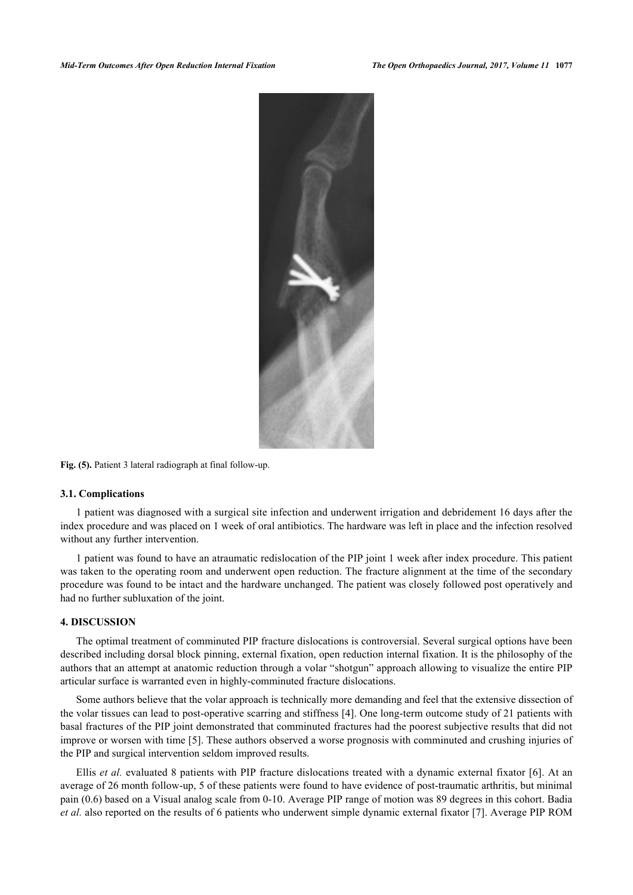

Fig. (5). Patient 3 lateral radiograph at final follow-up.

#### **3.1. Complications**

1 patient was diagnosed with a surgical site infection and underwent irrigation and debridement 16 days after the index procedure and was placed on 1 week of oral antibiotics. The hardware was left in place and the infection resolved without any further intervention.

1 patient was found to have an atraumatic redislocation of the PIP joint 1 week after index procedure. This patient was taken to the operating room and underwent open reduction. The fracture alignment at the time of the secondary procedure was found to be intact and the hardware unchanged. The patient was closely followed post operatively and had no further subluxation of the joint.

## **4. DISCUSSION**

The optimal treatment of comminuted PIP fracture dislocations is controversial. Several surgical options have been described including dorsal block pinning, external fixation, open reduction internal fixation. It is the philosophy of the authors that an attempt at anatomic reduction through a volar "shotgun" approach allowing to visualize the entire PIP articular surface is warranted even in highly-comminuted fracture dislocations.

Some authors believe that the volar approach is technically more demanding and feel that the extensive dissection of the volar tissues can lead to post-operative scarring and stiffness [[4\]](#page-6-3). One long-term outcome study of 21 patients with basal fractures of the PIP joint demonstrated that comminuted fractures had the poorest subjective results that did not improve or worsen with time [[5\]](#page-6-4). These authors observed a worse prognosis with comminuted and crushing injuries of the PIP and surgical intervention seldom improved results.

Ellis *et al.* evaluated 8 patients with PIP fracture dislocations treated with a dynamic external fixator [[6](#page-6-5)]. At an average of 26 month follow-up, 5 of these patients were found to have evidence of post-traumatic arthritis, but minimal pain (0.6) based on a Visual analog scale from 0-10. Average PIP range of motion was 89 degrees in this cohort. Badia *et al.* also reported on the results of 6 patients who underwent simple dynamic external fixator [[7\]](#page-6-6). Average PIP ROM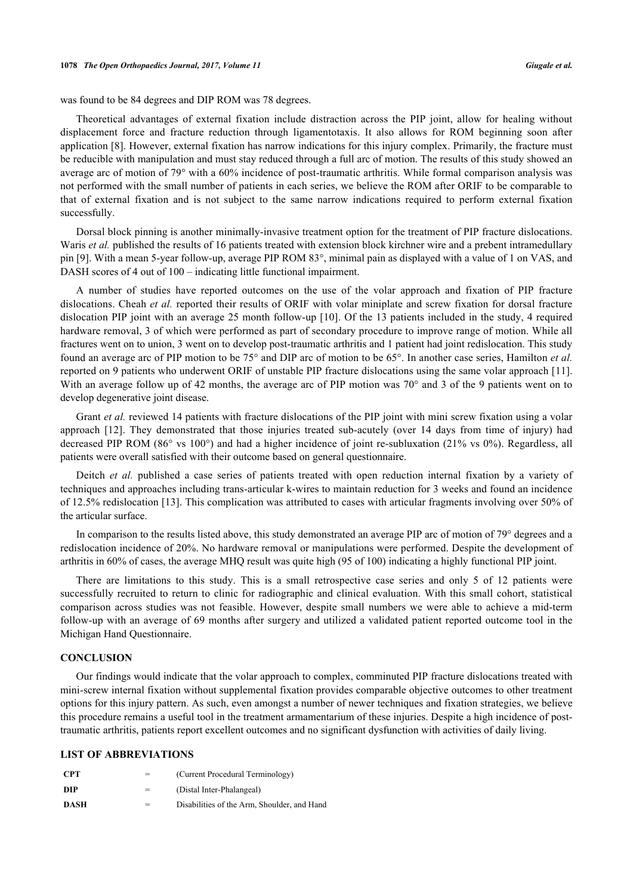was found to be 84 degrees and DIP ROM was 78 degrees.

Theoretical advantages of external fixation include distraction across the PIP joint, allow for healing without displacement force and fracture reduction through ligamentotaxis. It also allows for ROM beginning soon after application [[8\]](#page-6-7). However, external fixation has narrow indications for this injury complex. Primarily, the fracture must be reducible with manipulation and must stay reduced through a full arc of motion. The results of this study showed an average arc of motion of 79° with a 60% incidence of post-traumatic arthritis. While formal comparison analysis was not performed with the small number of patients in each series, we believe the ROM after ORIF to be comparable to that of external fixation and is not subject to the same narrow indications required to perform external fixation successfully.

Dorsal block pinning is another minimally-invasive treatment option for the treatment of PIP fracture dislocations. Waris *et al.* published the results of 16 patients treated with extension block kirchner wire and a prebent intramedullary pin [\[9](#page-6-8)]. With a mean 5-year follow-up, average PIP ROM 83°, minimal pain as displayed with a value of 1 on VAS, and DASH scores of 4 out of 100 – indicating little functional impairment.

A number of studies have reported outcomes on the use of the volar approach and fixation of PIP fracture dislocations. Cheah *et al.* reported their results of ORIF with volar miniplate and screw fixation for dorsal fracture dislocation PIP joint with an average 25 month follow-up [\[10\]](#page-6-9). Of the 13 patients included in the study, 4 required hardware removal, 3 of which were performed as part of secondary procedure to improve range of motion. While all fractures went on to union, 3 went on to develop post-traumatic arthritis and 1 patient had joint redislocation. This study found an average arc of PIP motion to be 75° and DIP arc of motion to be 65°. In another case series, Hamilton *et al.* reported on 9 patients who underwent ORIF of unstable PIP fracture dislocations using the same volar approach [[11\]](#page-6-10). With an average follow up of 42 months, the average arc of PIP motion was 70° and 3 of the 9 patients went on to develop degenerative joint disease.

Grant *et al.* reviewed 14 patients with fracture dislocations of the PIP joint with mini screw fixation using a volar approach[[12\]](#page-7-0). They demonstrated that those injuries treated sub-acutely (over 14 days from time of injury) had decreased PIP ROM (86° vs 100°) and had a higher incidence of joint re-subluxation (21% vs 0%). Regardless, all patients were overall satisfied with their outcome based on general questionnaire.

Deitch *et al.* published a case series of patients treated with open reduction internal fixation by a variety of techniques and approaches including trans-articular k-wires to maintain reduction for 3 weeks and found an incidence of 12.5% redislocation [\[13\]](#page-7-1). This complication was attributed to cases with articular fragments involving over 50% of the articular surface.

In comparison to the results listed above, this study demonstrated an average PIP arc of motion of 79° degrees and a redislocation incidence of 20%. No hardware removal or manipulations were performed. Despite the development of arthritis in 60% of cases, the average MHQ result was quite high (95 of 100) indicating a highly functional PIP joint.

There are limitations to this study. This is a small retrospective case series and only 5 of 12 patients were successfully recruited to return to clinic for radiographic and clinical evaluation. With this small cohort, statistical comparison across studies was not feasible. However, despite small numbers we were able to achieve a mid-term follow-up with an average of 69 months after surgery and utilized a validated patient reported outcome tool in the Michigan Hand Questionnaire.

## **CONCLUSION**

Our findings would indicate that the volar approach to complex, comminuted PIP fracture dislocations treated with mini-screw internal fixation without supplemental fixation provides comparable objective outcomes to other treatment options for this injury pattern. As such, even amongst a number of newer techniques and fixation strategies, we believe this procedure remains a useful tool in the treatment armamentarium of these injuries. Despite a high incidence of posttraumatic arthritis, patients report excellent outcomes and no significant dysfunction with activities of daily living.

#### **LIST OF ABBREVIATIONS**

| <b>CPT</b> | =   | (Current Procedural Terminology)            |
|------------|-----|---------------------------------------------|
| <b>DIP</b> | $=$ | (Distal Inter-Phalangeal)                   |
| DASH       | =   | Disabilities of the Arm. Shoulder, and Hand |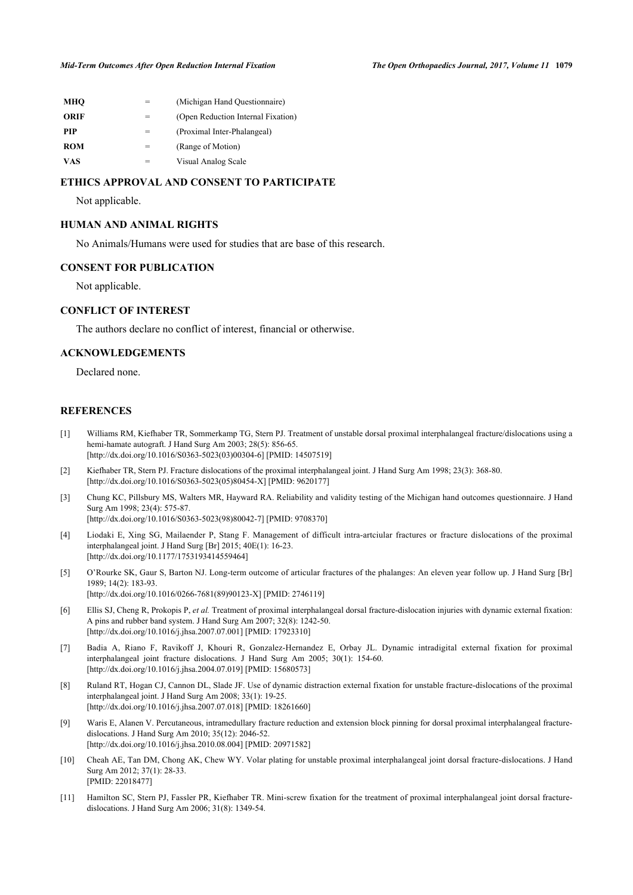| MHO         |   | (Michigan Hand Questionnaire)      |
|-------------|---|------------------------------------|
| <b>ORIF</b> |   | (Open Reduction Internal Fixation) |
| <b>PIP</b>  |   | (Proximal Inter-Phalangeal)        |
| <b>ROM</b>  |   | (Range of Motion)                  |
| VAS         | = | Visual Analog Scale                |
|             |   |                                    |

## **ETHICS APPROVAL AND CONSENT TO PARTICIPATE**

Not applicable.

## **HUMAN AND ANIMAL RIGHTS**

No Animals/Humans were used for studies that are base of this research.

### **CONSENT FOR PUBLICATION**

Not applicable.

## **CONFLICT OF INTEREST**

The authors declare no conflict of interest, financial or otherwise.

## **ACKNOWLEDGEMENTS**

Declared none.

### **REFERENCES**

- <span id="page-6-0"></span>[1] Williams RM, Kiefhaber TR, Sommerkamp TG, Stern PJ. Treatment of unstable dorsal proximal interphalangeal fracture/dislocations using a hemi-hamate autograft. J Hand Surg Am 2003; 28(5): 856-65. [\[http://dx.doi.org/10.1016/S0363-5023\(03\)00304-6\]](http://dx.doi.org/10.1016/S0363-5023(03)00304-6) [PMID: [14507519](http://www.ncbi.nlm.nih.gov/pubmed/14507519)]
- <span id="page-6-1"></span>[2] Kiefhaber TR, Stern PJ. Fracture dislocations of the proximal interphalangeal joint. J Hand Surg Am 1998; 23(3): 368-80. [\[http://dx.doi.org/10.1016/S0363-5023\(05\)80454-X\]](http://dx.doi.org/10.1016/S0363-5023(05)80454-X) [PMID: [9620177](http://www.ncbi.nlm.nih.gov/pubmed/9620177)]
- <span id="page-6-2"></span>[3] Chung KC, Pillsbury MS, Walters MR, Hayward RA. Reliability and validity testing of the Michigan hand outcomes questionnaire. J Hand Surg Am 1998; 23(4): 575-87. [\[http://dx.doi.org/10.1016/S0363-5023\(98\)80042-7\]](http://dx.doi.org/10.1016/S0363-5023(98)80042-7) [PMID: [9708370](http://www.ncbi.nlm.nih.gov/pubmed/9708370)]
- <span id="page-6-3"></span>[4] Liodaki E, Xing SG, Mailaender P, Stang F. Management of difficult intra-artciular fractures or fracture dislocations of the proximal interphalangeal joint. J Hand Surg [Br] 2015; 40E(1): 16-23. [\[http://dx.doi.org/10.1177/1753193414559464\]](http://dx.doi.org/10.1177/1753193414559464)
- <span id="page-6-4"></span>[5] O'Rourke SK, Gaur S, Barton NJ. Long-term outcome of articular fractures of the phalanges: An eleven year follow up. J Hand Surg [Br] 1989; 14(2): 183-93. [\[http://dx.doi.org/10.1016/0266-7681\(89\)90123-X](http://dx.doi.org/10.1016/0266-7681(89)90123-X)] [PMID: [2746119\]](http://www.ncbi.nlm.nih.gov/pubmed/2746119)
- <span id="page-6-5"></span>[6] Ellis SJ, Cheng R, Prokopis P, *et al.* Treatment of proximal interphalangeal dorsal fracture-dislocation injuries with dynamic external fixation: A pins and rubber band system. J Hand Surg Am 2007; 32(8): 1242-50. [\[http://dx.doi.org/10.1016/j.jhsa.2007.07.001\]](http://dx.doi.org/10.1016/j.jhsa.2007.07.001) [PMID: [17923310](http://www.ncbi.nlm.nih.gov/pubmed/17923310)]
- <span id="page-6-6"></span>[7] Badia A, Riano F, Ravikoff J, Khouri R, Gonzalez-Hernandez E, Orbay JL. Dynamic intradigital external fixation for proximal interphalangeal joint fracture dislocations. J Hand Surg Am 2005; 30(1): 154-60. [\[http://dx.doi.org/10.1016/j.jhsa.2004.07.019\]](http://dx.doi.org/10.1016/j.jhsa.2004.07.019) [PMID: [15680573](http://www.ncbi.nlm.nih.gov/pubmed/15680573)]
- <span id="page-6-7"></span>[8] Ruland RT, Hogan CJ, Cannon DL, Slade JF. Use of dynamic distraction external fixation for unstable fracture-dislocations of the proximal interphalangeal joint. J Hand Surg Am 2008; 33(1): 19-25. [\[http://dx.doi.org/10.1016/j.jhsa.2007.07.018\]](http://dx.doi.org/10.1016/j.jhsa.2007.07.018) [PMID: [18261660](http://www.ncbi.nlm.nih.gov/pubmed/18261660)]
- <span id="page-6-8"></span>[9] Waris E, Alanen V. Percutaneous, intramedullary fracture reduction and extension block pinning for dorsal proximal interphalangeal fracturedislocations. J Hand Surg Am 2010; 35(12): 2046-52. [\[http://dx.doi.org/10.1016/j.jhsa.2010.08.004\]](http://dx.doi.org/10.1016/j.jhsa.2010.08.004) [PMID: [20971582](http://www.ncbi.nlm.nih.gov/pubmed/20971582)]
- <span id="page-6-9"></span>[10] Cheah AE, Tan DM, Chong AK, Chew WY. Volar plating for unstable proximal interphalangeal joint dorsal fracture-dislocations. J Hand Surg Am 2012; 37(1): 28-33. [PMID: [22018477\]](http://www.ncbi.nlm.nih.gov/pubmed/22018477)
- <span id="page-6-10"></span>[11] Hamilton SC, Stern PJ, Fassler PR, Kiefhaber TR. Mini-screw fixation for the treatment of proximal interphalangeal joint dorsal fracturedislocations. J Hand Surg Am 2006; 31(8): 1349-54.